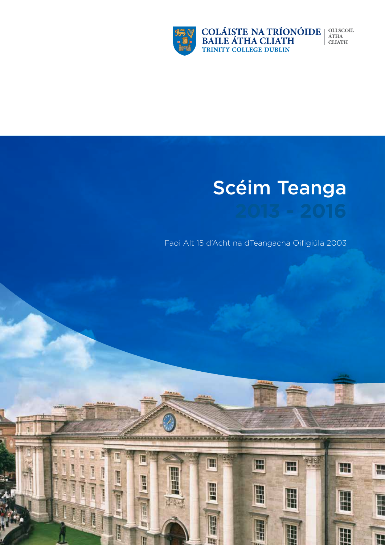

H

**Hand** 

■ 日本社会

ling

**BEESTING** 

H

H

E

m

T

H

H

Ħ

ERRE

um

COLÁISTE NA TRÍONÓIDE<br>BAILE ÁTHA CLIATH<br>TRINITY COLLEGE DUBLIN  $\begin{array}{ll} \textbf{OLLSCOIL} \\ \textbf{\acute{A}THA} \end{array}$ **CLIATH** 

# Scéim Teanga

Faoi Alt 15 d'Acht na dTeangacha Oifigiúla 2003

 $\blacksquare$ 

H

**The Sea** 

H

 $\mathbb{H}$ 

H

H

H

H

H

H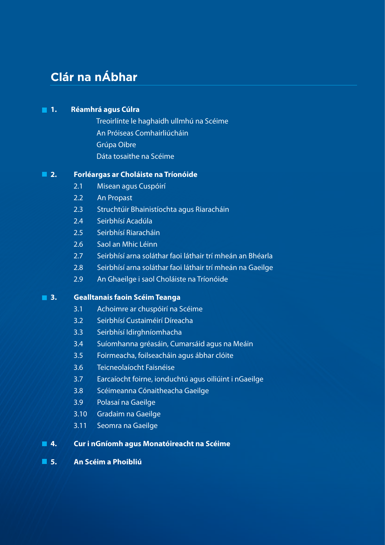# **Clár na nÁbhar**

### **1. Réamhrá agus Cúlra**

 Treoirlínte le haghaidh ullmhú na Scéime An Próiseas Comhairliúcháin Grúpa Oibre Dáta tosaithe na Scéime

### **2. Forléargas ar Choláiste na Tríonóide**

- 2.1 Misean agus Cuspóirí
- 2.2 An Propast
- 2.3 Struchtúir Bhainistíochta agus Riaracháin
- 2.4 Seirbhísí Acadúla
- 2.5 Seirbhísí Riaracháin
- 2.6 Saol an Mhic Léinn
- 2.7 Seirbhísí arna soláthar faoi láthair trí mheán an Bhéarla
- 2.8 Seirbhísí arna soláthar faoi láthair trí mheán na Gaeilge
- 2.9 An Ghaeilge i saol Choláiste na Tríonóide

#### **3. Gealltanais faoin Scéim Teanga**

- 3.1 Achoimre ar chuspóirí na Scéime
- 3.2 Seirbhísí Custaiméirí Díreacha
- 3.3 Seirbhísí Idirghníomhacha
- 3.4 Suíomhanna gréasáin, Cumarsáid agus na Meáin
- 3.5 Foirmeacha, foilseacháin agus ábhar clóite
- 3.6 Teicneolaíocht Faisnéise
- 3.7 Earcaíocht foirne, ionduchtú agus oiliúint i nGaeilge
- 3.8 Scéimeanna Cónaitheacha Gaeilge
- 3.9 Polasaí na Gaeilge
- 3.10 Gradaim na Gaeilge
- 3.11 Seomra na Gaeilge

### **4. Cur i nGníomh agus Monatóireacht na Scéime**

**5. An Scéim a Phoibliú**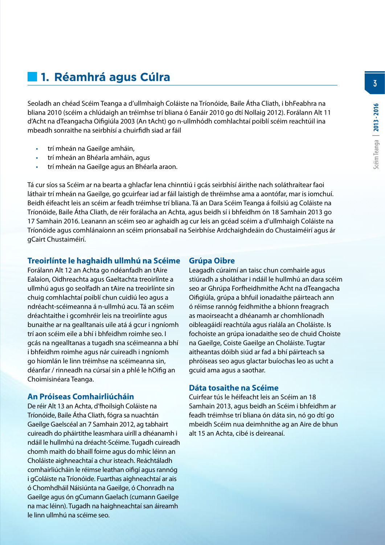# **1. Réamhrá agus Cúlra**

Seoladh an chéad Scéim Teanga a d'ullmhaigh Coláiste na Tríonóide, Baile Átha Cliath, i bhFeabhra na bliana 2010 (scéim a chlúdaigh an tréimhse trí bliana ó Eanáir 2010 go dtí Nollaig 2012). Forálann Alt 11 d'Acht na dTeangacha Oifigiúla 2003 (An tAcht) go n-ullmhódh comhlachtaí poiblí scéim reachtúil ina mbeadh sonraithe na seirbhísí a chuirfidh siad ar fáil

- trí mheán na Gaeilge amháin,
- trí mheán an Bhéarla amháin, agus
- trí mheán na Gaeilge agus an Bhéarla araon.

Tá cur síos sa Scéim ar na bearta a ghlacfar lena chinntiú i gcás seirbhísí áirithe nach soláthraítear faoi láthair trí mheán na Gaeilge, go gcuirfear iad ar fáil laistigh de thréimhse ama a aontófar, mar is iomchuí. Beidh éifeacht leis an scéim ar feadh tréimhse trí bliana. Tá an Dara Scéim Teanga á foilsiú ag Coláiste na Tríonóide, Baile Átha Cliath, de réir forálacha an Achta, agus beidh sí i bhfeidhm ón 18 Samhain 2013 go 17 Samhain 2016. Leanann an scéim seo ar aghaidh ag cur leis an gcéad scéim a d'ullmhaigh Coláiste na Tríonóide agus comhlánaíonn an scéim prionsabail na Seirbhíse Ardchaighdeáin do Chustaiméirí agus ár gCairt Chustaiméirí.

#### **Treoirlínte le haghaidh ullmhú na Scéime**

Forálann Alt 12 an Achta go ndéanfadh an tAire Ealaíon, Oidhreachta agus Gaeltachta treoirlínte a ullmhú agus go seolfadh an tAire na treoirlínte sin chuig comhlachtaí poiblí chun cuidiú leo agus a ndréacht-scéimeanna á n-ullmhú acu. Tá an scéim dréachtaithe i gcomhréir leis na treoirlínte agus bunaithe ar na gealltanais uile atá á gcur i ngníomh trí aon scéim eile a bhí i bhfeidhm roimhe seo. I gcás na ngealltanas a tugadh sna scéimeanna a bhí i bhfeidhm roimhe agus nár cuireadh i ngníomh go hiomlán le linn tréimhse na scéimeanna sin, déanfar / rinneadh na cúrsaí sin a phlé le hOifig an Choimisinéara Teanga.

#### **An Próiseas Comhairliúcháin**

De réir Alt 13 an Achta, d'fhoilsigh Coláiste na Tríonóide, Baile Átha Cliath, fógra sa nuachtán Gaeilge Gaelscéal an 7 Samhain 2012, ag tabhairt cuireadh do pháirtithe leasmhara uiríll a dhéanamh i ndáil le hullmhú na dréacht-Scéime. Tugadh cuireadh chomh maith do bhaill foirne agus do mhic léinn an Choláiste aighneachtaí a chur isteach. Reáchtáladh comhairliúcháin le réimse leathan oifigí agus rannóg i gColáiste na Tríonóide. Fuarthas aighneachtaí ar ais ó Chomhdháil Náisiúnta na Gaeilge, ó Chonradh na Gaeilge agus ón gCumann Gaelach (cumann Gaeilge na mac léinn). Tugadh na haighneachtaí san áireamh le linn ullmhú na scéime seo.

#### **Grúpa Oibre**

Leagadh cúraimí an taisc chun comhairle agus stiúradh a sholáthar i ndáil le hullmhú an dara scéim seo ar Ghrúpa Forfheidhmithe Acht na dTeangacha Oifigiúla, grúpa a bhfuil ionadaithe páirteach ann ó réimse rannóg feidhmithe a bhíonn freagrach as maoirseacht a dhéanamh ar chomhlíonadh oibleagáidí reachtúla agus rialála an Choláiste. Is fochoiste an grúpa ionadaithe seo de chuid Choiste na Gaeilge, Coiste Gaeilge an Choláiste. Tugtar aitheantas dóibh siúd ar fad a bhí páirteach sa phróiseas seo agus glactar buíochas leo as ucht a gcuid ama agus a saothar.

#### **Dáta tosaithe na Scéime**

Cuirfear tús le héifeacht leis an Scéim an 18 Samhain 2013, agus beidh an Scéim i bhfeidhm ar feadh tréimhse trí bliana ón dáta sin, nó go dtí go mbeidh Scéim nua deimhnithe ag an Aire de bhun alt 15 an Achta, cibé is deireanaí.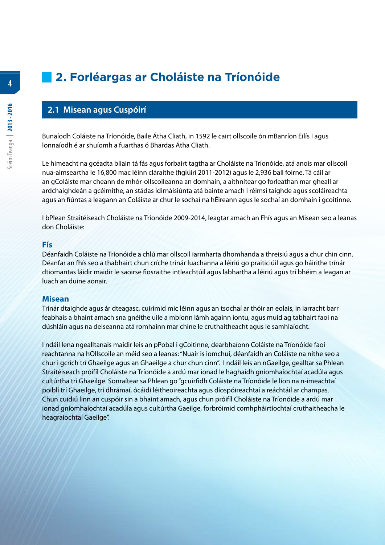**4**

# **2. Forléargas ar Choláiste na Tríonóide**

#### **2.1 Misean agus Cuspóirí**

Bunaíodh Coláiste na Tríonóide, Baile Átha Cliath, in 1592 le cairt ollscoile ón mBanríon Eilís I agus lonnaíodh é ar shuíomh a fuarthas ó Bhardas Átha Cliath.

Le himeacht na gcéadta bliain tá fás agus forbairt tagtha ar Choláiste na Tríonóide, atá anois mar ollscoil nua-aimseartha le 16,800 mac léinn cláraithe (figiúirí 2011-2012) agus le 2,936 ball foirne. Tá cáil ar an gColáiste mar cheann de mhór-ollscoileanna an domhain, a aithnítear go forleathan mar gheall ar ardchaighdeán a gcéimithe, an stádas idirnáisiúnta atá bainte amach i réimsí taighde agus scoláireachta agus an fiúntas a leagann an Coláiste ar chur le sochaí na hÉireann agus le sochaí an domhain i gcoitinne.

I bPlean Straitéiseach Choláiste na Tríonóide 2009-2014, leagtar amach an Fhís agus an Misean seo a leanas don Choláiste:

#### **Fís**

Déanfaidh Coláiste na Tríonóide a chlú mar ollscoil iarmharta dhomhanda a threisiú agus a chur chin cinn. Déanfar an fhís seo a thabhairt chun críche trínár luachanna a léiriú go praiticiúil agus go háirithe trínár dtiomantas láidir maidir le saoirse fiosraithe intleachtúil agus labhartha a léiriú agus trí bhéim a leagan ar luach an duine aonair.

#### **Misean**

Trínár dtaighde agus ár dteagasc, cuirimid mic léinn agus an tsochaí ar thóir an eolais, in iarracht barr feabhais a bhaint amach sna gnéithe uile a mbíonn lámh againn iontu, agus muid ag tabhairt faoi na dúshláin agus na deiseanna atá romhainn mar chine le cruthaitheacht agus le samhlaíocht.

I ndáil lena ngealltanais maidir leis an pPobal i gCoitinne, dearbhaíonn Coláiste na Tríonóide faoi reachtanna na hOllscoile an méid seo a leanas: "Nuair is iomchuí, déanfaidh an Coláiste na nithe seo a chur i gcrích trí Ghaeilge agus an Ghaeilge a chur chun cinn". I ndáil leis an nGaeilge, gealltar sa Phlean Straitéiseach próifíl Choláiste na Tríonóide a ardú mar ionad le haghaidh gníomhaíochtaí acadúla agus cultúrtha trí Ghaeilge. Sonraítear sa Phlean go "gcuirfidh Coláiste na Tríonóide le líon na n-imeachtaí poiblí trí Ghaeilge, trí dhrámaí, ócáidí léitheoireachta agus díospóireachtaí a reáchtáil ar champas. Chun cuidiú linn an cuspóir sin a bhaint amach, agus chun próifíl Choláiste na Tríonóide a ardú mar ionad gníomhaíochtaí acadúla agus cultúrtha Gaeilge, forbróimid comhpháirtíochtaí cruthaitheacha le heagraíochtaí Gaeilge".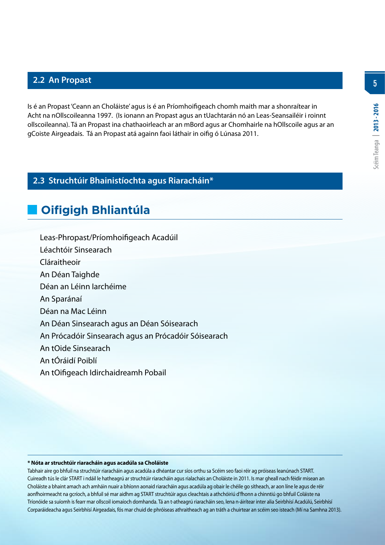Is é an Propast 'Ceann an Choláiste' agus is é an Príomhoifigeach chomh maith mar a shonraítear in Acht na nOllscoileanna 1997. (Is ionann an Propast agus an tUachtarán nó an Leas-Seansailéir i roinnt ollscoileanna). Tá an Propast ina chathaoirleach ar an mBord agus ar Chomhairle na hOllscoile agus ar an gCoiste Airgeadais. Tá an Propast atá againn faoi láthair in oifig ó Lúnasa 2011.

# **2.3 Struchtúir Bhainistíochta agus Riaracháin\***

# **Oifigigh Bhliantúla**

Leas-Phropast/Príomhoifigeach Acadúil

Léachtóir Sinsearach

Cláraitheoir

An Déan Taighde

Déan an Léinn Iarchéime

An Sparánaí

Déan na Mac Léinn

An Déan Sinsearach agus an Déan Sóisearach

An Prócadóir Sinsearach agus an Prócadóir Sóisearach

An tOide Sinsearach

An tÓráidí Poiblí

An tOifigeach Idirchaidreamh Pobail

#### **\* Nóta ar struchtúir riaracháin agus acadúla sa Choláiste**

Tabhair aire go bhfuil na struchtúir riaracháin agus acadúla a dhéantar cur síos orthu sa Scéim seo faoi réir ag próiseas leanúnach START. Cuireadh tús le clár START i ndáil le hatheagrú ar struchtúir riaracháin agus rialachais an Choláiste in 2011. Is mar gheall nach féidir misean an Choláiste a bhaint amach ach amháin nuair a bhíonn aonaid riaracháin agus acadúla ag obair le chéile go sítheach, ar aon líne le agus de réir aonfhoirmeacht na gcríoch, a bhfuil sé mar aidhm ag START struchtúir agus cleachtais a athchóiriú d'fhonn a chinntiú go bhfuil Coláiste na Tríonóide sa suíomh is fearr mar ollscoil iomaíoch domhanda. Tá an t-atheagrú riaracháin seo, lena n-áirítear inter alia Seirbhísí Acadúlú, Seirbhísí Corparáideacha agus Seirbhísí Airgeadais, fós mar chuid de phróiseas athraitheach ag an tráth a chuirtear an scéim seo isteach (Mí na Samhna 2013). **5**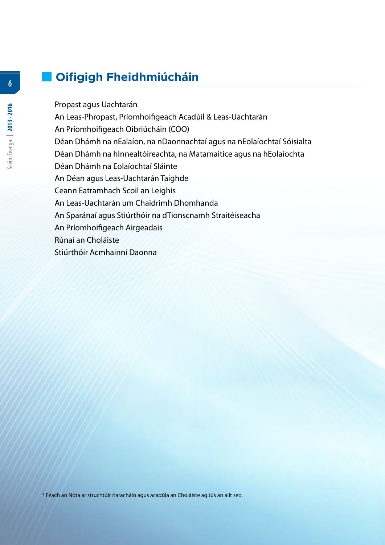# **Oifigigh Fheidhmiúcháin**

 Propast agus Uachtarán An Leas-Phropast, Príomhoifigeach Acadúil & Leas-Uachtarán An Príomhoifigeach Oibriúcháin (COO) Déan Dhámh na nEalaíon, na nDaonnachtaí agus na nEolaíochtaí Sóisialta Déan Dhámh na hInnealtóireachta, na Matamaitice agus na hEolaíochta Déan Dhámh na Eolaíochtaí Sláinte An Déan agus Leas-Uachtarán Taighde Ceann Eatramhach Scoil an Leighis An Leas-Uachtarán um Chaidrimh Dhomhanda An Sparánaí agus Stiúrthóir na dTionscnamh Straitéiseacha An Príomhoifigeach Airgeadais Rúnaí an Choláiste Stiúrthóir Acmhainní Daonna

**6**

\* Féach an Nóta ar struchtúir riaracháin agus acadúla an Choláiste ag tús an ailt seo.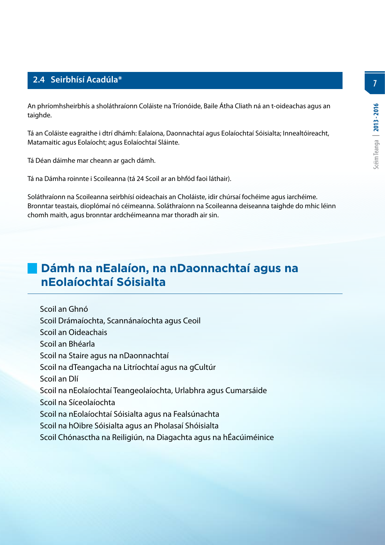# **2.4 Seirbhísí Acadúla\***

An phríomhsheirbhís a sholáthraíonn Coláiste na Tríonóide, Baile Átha Cliath ná an t-oideachas agus an taighde.

Tá an Coláiste eagraithe i dtrí dhámh: Ealaíona, Daonnachtaí agus Eolaíochtaí Sóisialta; Innealtóireacht, Matamaitic agus Eolaíocht; agus Eolaíochtaí Sláinte.

Tá Déan dáimhe mar cheann ar gach dámh.

Tá na Dámha roinnte i Scoileanna (tá 24 Scoil ar an bhfód faoi láthair).

Soláthraíonn na Scoileanna seirbhísí oideachais an Choláiste, idir chúrsaí fochéime agus iarchéime. Bronntar teastais, dioplómaí nó céimeanna. Soláthraíonn na Scoileanna deiseanna taighde do mhic léinn chomh maith, agus bronntar ardchéimeanna mar thoradh air sin.

# **Dámh na nEalaíon, na nDaonnachtaí agus na nEolaíochtaí Sóisialta**

 Scoil an Ghnó Scoil Drámaíochta, Scannánaíochta agus Ceoil Scoil an Oideachais Scoil an Bhéarla Scoil na Staire agus na nDaonnachtaí Scoil na dTeangacha na Litríochtaí agus na gCultúr Scoil an Dlí Scoil na nEolaíochtaí Teangeolaíochta, Urlabhra agus Cumarsáide Scoil na Síceolaíochta Scoil na nEolaíochtaí Sóisialta agus na Fealsúnachta Scoil na hOibre Sóisialta agus an Pholasaí Shóisialta Scoil Chónasctha na Reiligiún, na Diagachta agus na hÉacúiméinice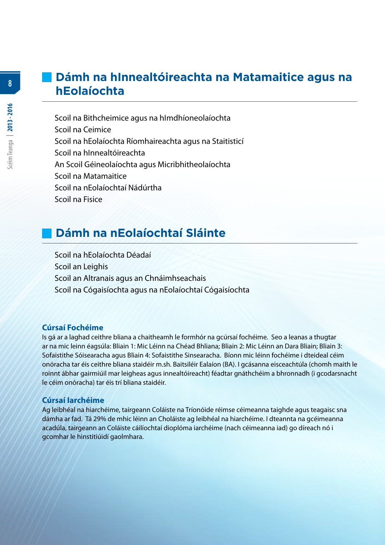# **Dámh na hInnealtóireachta na Matamaitice agus na hEolaíochta**

 Scoil na Bithcheimice agus na hImdhíoneolaíochta Scoil na Ceimice Scoil na hEolaíochta Ríomhaireachta agus na Staitisticí Scoil na hInnealtóireachta An Scoil Géineolaíochta agus Micribhitheolaíochta Scoil na Matamaitice Scoil na nEolaíochtaí Nádúrtha Scoil na Fisice

# **Dámh na nEolaíochtaí Sláinte**

 Scoil na hEolaíochta Déadaí Scoil an Leighis Scoil an Altranais agus an Chnáimhseachais Scoil na Cógaisíochta agus na nEolaíochtaí Cógaisíochta

#### **Cúrsaí Fochéime**

Is gá ar a laghad ceithre bliana a chaitheamh le formhór na gcúrsaí fochéime. Seo a leanas a thugtar ar na mic leinn éagsúla: Bliain 1: Mic Léinn na Chéad Bhliana; Bliain 2: Mic Léinn an Dara Bliain; Bliain 3: Sofaistithe Sóisearacha agus Bliain 4: Sofaistithe Sinsearacha. Bíonn mic léinn fochéime i dteideal céim onóracha tar éis ceithre bliana staidéir m.sh. Baitsiléir Ealaíon (BA). I gcásanna eisceachtúla (chomh maith le roinnt ábhar gairmiúil mar leigheas agus innealtóireacht) féadtar gnáthchéim a bhronnadh (i gcodarsnacht le céim onóracha) tar éis trí bliana staidéir.

#### **Cúrsaí Iarchéime**

Ag leibhéal na hiarchéime, tairgeann Coláiste na Tríonóide réimse céimeanna taighde agus teagaisc sna dámha ar fad. Tá 29% de mhic léinn an Choláiste ag leibhéal na hiarchéime. I dteannta na gcéimeanna acadúla, tairgeann an Coláiste cáilíochtaí dioplóma iarchéime (nach céimeanna iad) go díreach nó i gcomhar le hinstitiúidí gaolmhara.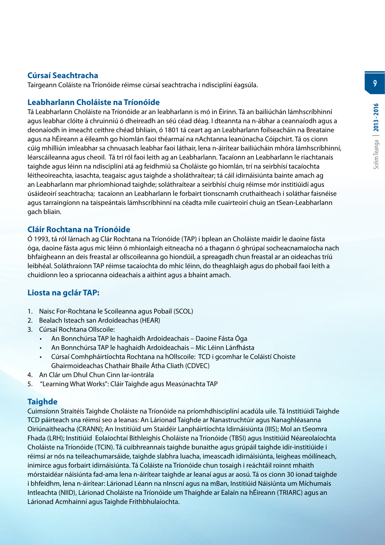# **Cúrsaí Seachtracha**

Tairgeann Coláiste na Tríonóide réimse cúrsaí seachtracha i ndisciplíní éagsúla.

#### **Leabharlann Choláiste na Tríonóide**

Tá Leabharlann Choláiste na Tríonóide ar an leabharlann is mó in Éirinn. Tá an bailiúchán lámhscríbhinní agus leabhar clóite á chruinniú ó dheireadh an séú céad déag. I dteannta na n-ábhar a ceannaíodh agus a deonaíodh in imeacht ceithre chéad bhliain, ó 1801 tá ceart ag an Leabharlann foilseacháin na Breataine agus na hÉireann a éileamh go hiomlán faoi théarmaí na nAchtanna leanúnacha Cóipchirt. Tá os cionn cúig mhilliún imleabhar sa chnuasach leabhar faoi láthair, lena n-áirítear bailiúcháin mhóra lámhscríbhinní, léarscáileanna agus cheoil. Tá trí ról faoi leith ag an Leabharlann. Tacaíonn an Leabharlann le riachtanais taighde agus léinn na ndisciplíní atá ag feidhmiú sa Choláiste go hiomlán, trí na seirbhísí tacaíochta léitheoireachta, iasachta, teagaisc agus taighde a sholáthraítear; tá cáil idirnáisiúnta bainte amach ag an Leabharlann mar phríomhionad taighde; soláthraítear a seirbhísí chuig réimse mór institiúidí agus úsáideoirí seachtracha; tacaíonn an Leabharlann le forbairt tionscnamh cruthaitheach i soláthar faisnéise agus tarraingíonn na taispeántais lámhscríbhinní na céadta míle cuairteoirí chuig an tSean-Leabharlann gach bliain.

# **Cláir Rochtana na Tríonóide**

Ó 1993, tá ról lárnach ag Clár Rochtana na Tríonóide (TAP) i bplean an Choláiste maidir le daoine fásta óga, daoine fásta agus mic léinn ó mhionlaigh eitneacha nó a thagann ó ghrúpaí socheacnamaíocha nach bhfaigheann an deis freastal ar ollscoileanna go hiondúil, a spreagadh chun freastal ar an oideachas tríú leibhéal. Soláthraíonn TAP réimse tacaíochta do mhic léinn, do theaghlaigh agus do phobail faoi leith a chuidíonn leo a spriocanna oideachais a aithint agus a bhaint amach.

# **Liosta na gclár TAP:**

- 1. Naisc For-Rochtana le Scoileanna agus Pobail (SCOL)
- 2. Bealach Isteach san Ardoideachas (HEAR)
- 3. Cúrsaí Rochtana Ollscoile:
	- An Bonnchúrsa TAP le haghaidh Ardoideachais Daoine Fásta Óga
	- An Bonnchúrsa TAP le haghaidh Ardoideachais Mic Léinn Lánfhásta
	- Cúrsaí Comhpháirtíochta Rochtana na hOllscoile: TCD i gcomhar le Coláistí Choiste Ghairmoideachas Chathair Bhaile Átha Cliath (CDVEC)
- 4. An Clár um Dhul Chun Cinn Iar-iontrála
- 5. "Learning What Works": Cláir Taighde agus Measúnachta TAP

# **Taighde**

Cuimsíonn Straitéis Taighde Choláiste na Tríonóide na príomhdhisciplíní acadúla uile. Tá Institiúidí Taighde TCD páirteach sna réimsí seo a leanas: An Lárionad Taighde ar Nanastruchtúir agus Nanaghléasanna Oiriúnaitheacha (CRANN); An Institiúid um Staidéir Lanpháirtíochta Idirnáisiúnta (IIIS); Mol an tSeomra Fhada (LRH); Institiúid Eolaíochtaí Bithleighis Choláiste na Tríonóide (TBSI) agus Institiúid Néareolaíochta Choláiste na Tríonóide (TCIN). Tá cuibhreannais taighde bunaithe agus grúpáil taighde idir-institiúide i réimsí ar nós na teileachumarsáide, taighde slabhra luacha, imeascadh idirnáisiúnta, leigheas móilíneach, inimirce agus forbairt idirnáisiúnta. Tá Coláiste na Tríonóide chun tosaigh i reáchtáil roinnt mhaith mórstaidéar náisiúnta fad-ama lena n-áirítear taighde ar leanaí agus ar aosú. Tá os cionn 30 ionad taighde i bhfeidhm, lena n-áirítear: Lárionad Léann na nInscní agus na mBan, Institiúid Náisiúnta um Míchumais Intleachta (NIID), Lárionad Choláiste na Tríonóide um Thaighde ar Ealaín na hÉireann (TRIARC) agus an Lárionad Acmhainní agus Taighde Frithbhulaíochta.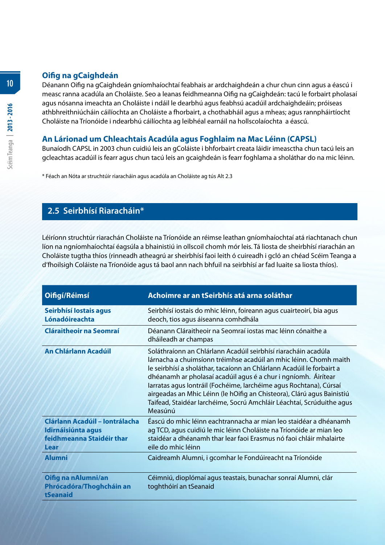### **Oifig na gCaighdeán**

Déanann Oifig na gCaighdeán gníomhaíochtaí feabhais ar ardchaighdeán a chur chun cinn agus a éascú i measc ranna acadúla an Choláiste. Seo a leanas feidhmeanna Oifig na gCaighdeán: tacú le forbairt pholasaí agus nósanna imeachta an Choláiste i ndáil le dearbhú agus feabhsú acadúil ardchaighdeáin; próiseas athbhreithniúcháin cáilíochta an Choláiste a fhorbairt, a chothabháil agus a mheas; agus rannpháirtíocht Choláiste na Tríonóide i ndearbhú cáilíochta ag leibhéal earnáil na hollscolaíochta a éascú.

# **An Lárionad um Chleachtais Acadúla agus Foghlaim na Mac Léinn (CAPSL)**

Bunaíodh CAPSL in 2003 chun cuidiú leis an gColáiste i bhforbairt creata láidir imeasctha chun tacú leis an gcleachtas acadúil is fearr agus chun tacú leis an gcaighdeán is fearr foghlama a sholáthar do na mic léinn.

\* Féach an Nóta ar struchtúir riaracháin agus acadúla an Choláiste ag tús Alt 2.3

# **2.5 Seirbhísí Riaracháin\***

Léiríonn struchtúr riarachán Choláiste na Tríonóide an réimse leathan gníomhaíochtaí atá riachtanach chun líon na ngníomhaíochtaí éagsúla a bhainistiú in ollscoil chomh mór leis. Tá liosta de sheirbhísí riarachán an Choláiste tugtha thíos (rinneadh atheagrú ar sheirbhísí faoi leith ó cuireadh i gcló an chéad Scéim Teanga a d'fhoilsigh Coláiste na Tríonóide agus tá baol ann nach bhfuil na seirbhísí ar fad luaite sa liosta thíos).

| Oifigí/Réimsí                                                                             | Achoimre ar an tSeirbhís atá arna soláthar                                                                                                                                                                                                                                                                                                                                                                                                                                                                         |
|-------------------------------------------------------------------------------------------|--------------------------------------------------------------------------------------------------------------------------------------------------------------------------------------------------------------------------------------------------------------------------------------------------------------------------------------------------------------------------------------------------------------------------------------------------------------------------------------------------------------------|
| Seirbhísí lostais agus<br>Lónadóireachta                                                  | Seirbhísí iostais do mhic léinn, foireann agus cuairteoirí, bia agus<br>deoch, tios agus áiseanna comhdhála                                                                                                                                                                                                                                                                                                                                                                                                        |
| <b>Cláraitheoir na Seomraí</b>                                                            | Déanann Cláraitheoir na Seomraí iostas mac léinn cónaithe a<br>dháileadh ar champas                                                                                                                                                                                                                                                                                                                                                                                                                                |
| An Chlárlann Acadúil                                                                      | Soláthraíonn an Chlárlann Acadúil seirbhísí riaracháin acadúla<br>lárnacha a chuimsíonn tréimhse acadúil an mhic léinn. Chomh maith<br>le seirbhísí a sholáthar, tacaíonn an Chlárlann Acadúil le forbairt a<br>dhéanamh ar pholasaí acadúil agus é a chur i ngníomh. Áirítear<br>larratas agus lontráil (Fochéime, larchéime agus Rochtana), Cúrsaí<br>airgeadas an Mhic Léinn (le hOifig an Chisteora), Clárú agus Bainistiú<br>Taifead, Staidéar Iarchéime, Socrú Amchláir Léachtaí, Scrúduithe agus<br>Measúnú |
| Clárlann Acadúil - Iontrálacha<br>Idirnáisiúnta agus<br>feidhmeanna Staidéir thar<br>Lear | Éascú do mhic léinn eachtrannacha ar mian leo staidéar a dhéanamh<br>ag TCD, agus cuidiú le mic léinn Choláiste na Tríonóide ar mian leo<br>staidéar a dhéanamh thar lear faoi Erasmus nó faoi chláir mhalairte<br>eile do mhic léinn                                                                                                                                                                                                                                                                              |
| <b>Alumni</b>                                                                             | Caidreamh Alumni, i gcomhar le Fondúireacht na Tríonóide                                                                                                                                                                                                                                                                                                                                                                                                                                                           |
| Oifig na nAlumni/an<br>Phrócadóra/Thoghcháin an<br>tSeanaid                               | Céimniú, dioplómaí agus teastais, bunachar sonraí Alumni, clár<br>toghthóirí an tSeanaid                                                                                                                                                                                                                                                                                                                                                                                                                           |

**10**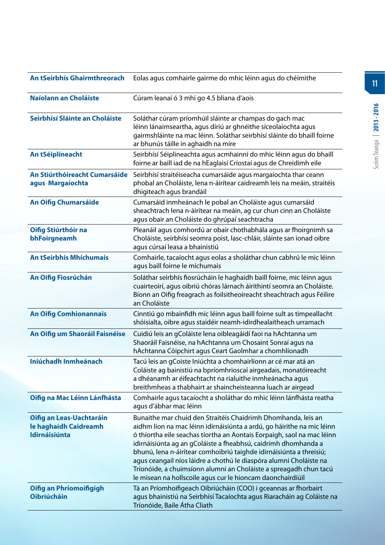| An tSeirbhís Ghairmthreorach                                              | Eolas agus comhairle gairme do mhic léinn agus do chéimithe                                                                                                                                                                                                                                                                                                                                                                                                                                                                                                         |
|---------------------------------------------------------------------------|---------------------------------------------------------------------------------------------------------------------------------------------------------------------------------------------------------------------------------------------------------------------------------------------------------------------------------------------------------------------------------------------------------------------------------------------------------------------------------------------------------------------------------------------------------------------|
| Naíolann an Choláiste                                                     | Cúram leanaí ó 3 mhí go 4.5 bliana d'aois                                                                                                                                                                                                                                                                                                                                                                                                                                                                                                                           |
| Seirbhísí Sláinte an Choláiste                                            | Soláthar cúram príomhúil sláinte ar champas do gach mac<br>léinn lánaimseartha, agus díriú ar ghnéithe síceolaíochta agus<br>gairmshláinte na mac léinn. Soláthar seirbhísí sláinte do bhaill foirne<br>ar bhunús táille in aghaidh na míre                                                                                                                                                                                                                                                                                                                         |
| An tSéiplíneacht                                                          | Seirbhísí Séiplíneachta agus acmhainní do mhic léinn agus do bhaill<br>foirne ar baill iad de na hEaglaisí Críostaí agus de Chreidimh eile                                                                                                                                                                                                                                                                                                                                                                                                                          |
| An Stiúrthóireacht Cumarsáide<br>agus Margaíochta                         | Seirbhísí straitéiseacha cumarsáide agus margaíochta thar ceann<br>phobal an Choláiste, lena n-áirítear caidreamh leis na meáin, straitéis<br>dhigiteach agus brandáil                                                                                                                                                                                                                                                                                                                                                                                              |
| <b>An Oifig Chumarsáide</b>                                               | Cumarsáid inmheánach le pobal an Choláiste agus cumarsáid<br>sheachtrach lena n-áirítear na meáin, ag cur chun cinn an Choláiste<br>agus obair an Choláiste do ghrúpaí seachtracha                                                                                                                                                                                                                                                                                                                                                                                  |
| Oifig Stiúrthóir na<br>bhFoirgneamh                                       | Pleanáil agus comhordú ar obair chothabhála agus ar fhoirgnimh sa<br>Choláiste, seirbhísí seomra poist, lasc-chláir, sláinte san ionad oibre<br>agus cúrsaí leasa a bhainistiú                                                                                                                                                                                                                                                                                                                                                                                      |
| <b>An tSeirbhís Mhíchumais</b>                                            | Comhairle, tacaíocht agus eolas a sholáthar chun cabhrú le mic léinn<br>agus baill foirne le míchumais                                                                                                                                                                                                                                                                                                                                                                                                                                                              |
| An Oifig Fiosrúchán                                                       | Soláthar seirbhís fiosrúcháin le haghaidh baill foirne, mic léinn agus<br>cuairteoirí, agus oibriú chóras lárnach áirithintí seomra an Choláiste.<br>Bíonn an Oifig freagrach as foilsitheoireacht sheachtrach agus Féilire<br>an Choláiste                                                                                                                                                                                                                                                                                                                         |
| <b>An Oifig Comhionannais</b>                                             | Cinntiú go mbainfidh mic léinn agus baill foirne sult as timpeallacht<br>shóisialta, oibre agus staidéir neamh-idirdhealaitheach urramach                                                                                                                                                                                                                                                                                                                                                                                                                           |
| An Oifig um Shaoráil Faisnéise                                            | Cuidiú leis an gColáiste lena oibleagáidí faoi na hAchtanna um<br>Shaoráil Faisnéise, na hAchtanna um Chosaint Sonraí agus na<br>hAchtanna Cóipchirt agus Ceart Gaolmhar a chomhlíonadh                                                                                                                                                                                                                                                                                                                                                                             |
| Iniúchadh Inmheánach                                                      | Tacú leis an gCoiste Iniúchta a chomhairlíonn ar cé mar atá an<br>Coláiste ag bainistiú na bpríomhrioscaí airgeadais, monatóireacht<br>a dhéanamh ar éifeachtacht na rialuithe inmheánacha agus<br>breithmheas a thabhairt ar shaincheisteanna luach ar airgead                                                                                                                                                                                                                                                                                                     |
| Oifig na Mac Léinn Lánfhásta                                              | Comhairle agus tacaíocht a sholáthar do mhic léinn lánfhásta reatha<br>agus d'ábhar mac léinn                                                                                                                                                                                                                                                                                                                                                                                                                                                                       |
| Oifig an Leas-Uachtaráin<br>le haghaidh Caidreamh<br><b>Idirnáisiúnta</b> | Bunaithe mar chuid den Straitéis Chaidrimh Dhomhanda, leis an<br>aidhm líon na mac léinn idirnáisiúnta a ardú, go háirithe na mic léinn<br>ó thíortha eile seachas tíortha an Aontais Eorpaigh, saol na mac léinn<br>idirnáisiúnta ag an gColáiste a fheabhsú, caidrimh dhomhanda a<br>bhunú, lena n-áirítear comhoibriú taighde idirnáisiúnta a threisiú;<br>agus ceangail níos láidre a chothú le diaspóra alumni Choláiste na<br>Tríonóide, a chuimsíonn alumni an Choláiste a spreagadh chun tacú<br>le misean na hollscoile agus cur le hioncam daonchairdiúil |
| <b>Oifig an Phríomoifigigh</b><br><b>Oibriúcháin</b>                      | Tá an Príomhoifigeach Oibriúcháin (COO) i gceannas ar fhorbairt<br>agus bhainistiú na Seirbhísí Tacaíochta agus Riaracháin ag Coláiste na<br>Tríonóide, Baile Átha Cliath                                                                                                                                                                                                                                                                                                                                                                                           |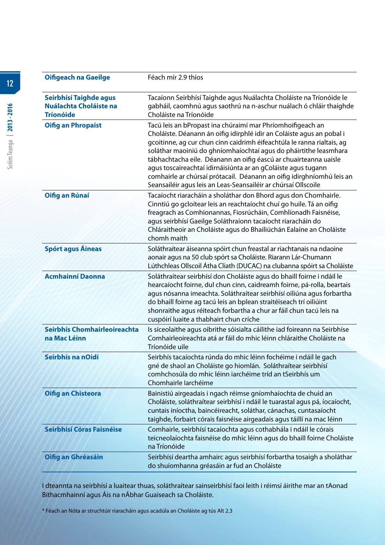| <b>Oifigeach na Gaeilge</b>                                                 | Féach mír 2.9 thíos                                                                                                                                                                                                                                                                                                                                                                                                                                                                                                                                               |
|-----------------------------------------------------------------------------|-------------------------------------------------------------------------------------------------------------------------------------------------------------------------------------------------------------------------------------------------------------------------------------------------------------------------------------------------------------------------------------------------------------------------------------------------------------------------------------------------------------------------------------------------------------------|
| Seirbhísí Taighde agus<br><b>Nuálachta Choláiste na</b><br><b>Tríonóide</b> | Tacaíonn Seirbhísí Taighde agus Nuálachta Choláiste na Tríonóide le<br>gabháil, caomhnú agus saothrú na n-aschur nuálach ó chláir thaighde<br>Choláiste na Tríonóide                                                                                                                                                                                                                                                                                                                                                                                              |
| <b>Oifig an Phropaist</b>                                                   | Tacú leis an bPropast ina chúraimí mar Phríomhoifigeach an<br>Choláiste. Déanann án oifig idirphlé idir an Coláiste agus an pobal i<br>gcoitinne, ag cur chun cinn caidrimh éifeachtúla le ranna rialtais, ag<br>soláthar maoiniú do ghníomhaíochtaí agus do pháirtithe leasmhara<br>tábhachtacha eile. Déanann an oifig éascú ar chuairteanna uaisle<br>agus toscaireachtaí idirnáisiúnta ar an gColáiste agus tugann<br>comhairle ar chúrsaí prótacail. Déanann an oifig idirghníomhú leis an<br>Seansailéir agus leis an Leas-Seansailéir ar chúrsaí Ollscoile |
| Oifig an Rúnaí                                                              | Tacaíocht riaracháin a sholáthar don Bhord agus don Chomhairle.<br>Cinntiú go gcloítear leis an reachtaíocht chuí go huile. Tá an oifig<br>freagrach as Comhionannas, Fiosrúcháin, Comhlíonadh Faisnéise,<br>agus seirbhísí Gaeilge Soláthraíonn tacaíocht riaracháin do<br>Chláraitheoir an Choláiste agus do Bhailiúchán Ealaíne an Choláiste<br>chomh maith                                                                                                                                                                                                    |
| <b>Spórt agus Áineas</b>                                                    | Soláthraítear áiseanna spóirt chun freastal ar riachtanais na ndaoine<br>aonair agus na 50 club spórt sa Choláiste. Riarann Lár-Chumann<br>Lúthchleas Ollscoil Átha Cliath (DUCAC) na clubanna spóirt sa Choláiste                                                                                                                                                                                                                                                                                                                                                |
| <b>Acmhainní Daonna</b>                                                     | Soláthraítear seirbhísí don Choláiste agus do bhaill foirne i ndáil le<br>hearcaíocht foirne, dul chun cinn, caidreamh foirne, pá-rolla, beartais<br>agus nósanna imeachta. Soláthraítear seirbhísí oiliúna agus forbartha<br>do bhaill foirne ag tacú leis an bplean straitéiseach trí oiliúint<br>shonraithe agus réiteach forbartha a chur ar fáil chun tacú leis na<br>cuspóirí luaite a thabhairt chun críche                                                                                                                                                |
| Seirbhís Chomhairleoireachta<br>na Mac Léinn                                | Is síceolaithe agus oibrithe sóisialta cáilithe iad foireann na Seirbhíse<br>Comhairleoireachta atá ar fáil do mhic léinn chláraithe Choláiste na<br>Tríonóide uile                                                                                                                                                                                                                                                                                                                                                                                               |
| Seirbhís na nOidí                                                           | Seirbhís tacaíochta rúnda do mhic léinn fochéime i ndáil le gach<br>gné de shaol an Choláiste go hiomlán. Soláthraítear seirbhísí<br>comhchosúla do mhic léinn iarchéime tríd an tSeirbhís um<br>Chomhairle Iarchéime                                                                                                                                                                                                                                                                                                                                             |
| <b>Oifig an Chisteora</b>                                                   | Bainistiú airgeadais i ngach réimse gníomhaíochta de chuid an<br>Choláiste, soláthraítear seirbhísí i ndáil le tuarastal agus pá, íocaíocht,<br>cuntais iníoctha, baincéireacht, soláthar, cánachas, cuntasaíocht<br>taighde, forbairt córais faisnéise airgeadais agus táillí na mac léinn                                                                                                                                                                                                                                                                       |
| Seirbhísí Córas Faisnéise                                                   | Comhairle, seirbhísí tacaíochta agus cothabhála i ndáil le córais<br>teicneolaíochta faisnéise do mhic léinn agus do bhaill foirne Choláiste<br>na Tríonóide                                                                                                                                                                                                                                                                                                                                                                                                      |
| Oifig an Ghréasáin                                                          | Seirbhísí deartha amhairc agus seirbhísí forbartha tosaigh a sholáthar<br>do shuíomhanna gréasáin ar fud an Choláiste                                                                                                                                                                                                                                                                                                                                                                                                                                             |

I dteannta na seirbhísí a luaitear thuas, soláthraítear sainseirbhísí faoi leith i réimsí áirithe mar an tAonad Bithacmhainní agus Áis na nÁbhar Guaiseach sa Choláiste.

\* Féach an Nóta ar struchtúir riaracháin agus acadúla an Choláiste ag tús Alt 2.3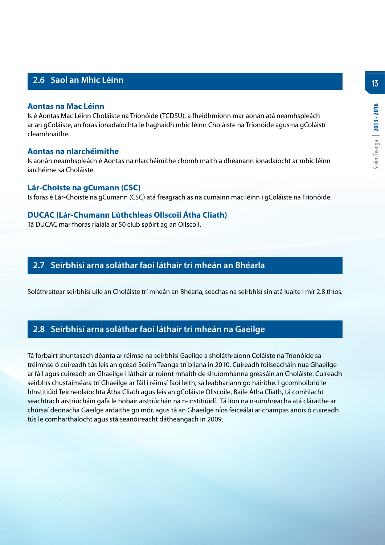# **2.6 Saol an Mhic Léinn**

#### **Aontas na Mac Léinn**

Is é Aontas Mac Léinn Choláiste na Tríonóide (TCDSU), a fheidhmíonn mar aonán atá neamhspleách ar an gColáiste, an foras ionadaíochta le haghaidh mhic léinn Choláiste na Tríonóide agus na gColáistí cleamhnaithe.

#### **Aontas na nIarchéimithe**

Is aonán neamhspleách é Aontas na nIarchéimithe chomh maith a dhéanann ionadaíocht ar mhic léinn iarchéime sa Choláiste.

#### **Lár-Choiste na gCumann (CSC)**

Is foras é Lár-Choiste na gCumann (CSC) atá freagrach as na cumainn mac léinn i gColáiste na Tríonóide.

#### **DUCAC (Lár-Chumann Lúthchleas Ollscoil Átha Cliath)**

Tá DUCAC mar fhoras rialála ar 50 club spóirt ag an Ollscoil.

# **2.7 Seirbhísí arna soláthar faoi láthair trí mheán an Bhéarla**

Soláthraítear seirbhísí uile an Choláiste trí mheán an Bhéarla, seachas na seirbhísí sin atá luaite i mír 2.8 thíos.

# **2.8 Seirbhísí arna soláthar faoi láthair trí mheán na Gaeilge**

Tá forbairt shuntasach déanta ar réimse na seirbhísí Gaeilge a sholáthraíonn Coláiste na Tríonóide sa tréimhse ó cuireadh tús leis an gcéad Scéim Teanga trí bliana in 2010. Cuireadh foilseacháin nua Ghaeilge ar fáil agus cuireadh an Ghaeilge i láthair ar roinnt mhaith de shuíomhanna gréasáin an Choláiste. Cuireadh seirbhís chustaiméara trí Ghaeilge ar fáil i réimsí faoi leith, sa leabharlann go háirithe. I gcomhoibriú le hInstitiúid Teicneolaíochta Átha Cliath agus leis an gColáiste Ollscoile, Baile Átha Cliath, tá comhlacht seachtrach aistriúcháin gafa le hobair aistriúchán na n-institiúidí. Tá líon na n-uimhreacha atá cláraithe ar chúrsaí deonacha Gaeilge ardaithe go mór, agus tá an Ghaeilge níos feiceálaí ar champas anois ó cuireadh tús le comharthaíocht agus stáiseanóireacht dátheangach in 2009.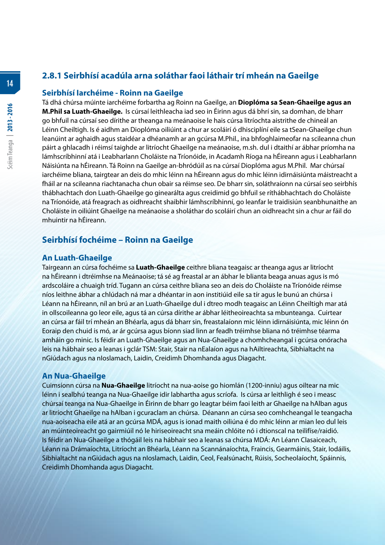# **2.8.1 Seirbhísí acadúla arna soláthar faoi láthair trí mheán na Gaeilge**

#### **Seirbhísí Iarchéime - Roinn na Gaeilge**

Tá dhá chúrsa múinte iarchéime forbartha ag Roinn na Gaeilge, an **Dioplóma sa Sean-Ghaeilge agus an M.Phil sa Luath-Ghaeilge.** Is cúrsaí leithleacha iad seo in Éirinn agus dá bhrí sin, sa domhan, de bharr go bhfuil na cúrsaí seo dírithe ar theanga na meánaoise le hais cúrsa litríochta aistrithe de chineál an Léinn Cheiltigh. Is é aidhm an Dioplóma oiliúint a chur ar scoláirí ó dhisciplíní eile sa tSean-Ghaeilge chun leanúint ar aghaidh agus staidéar a dhéanamh ar an gcúrsa M.Phil., ina bhfoghlaimeofar na scileanna chun páirt a ghlacadh i réimsí taighde ar litríocht Ghaeilge na meánaoise, m.sh. dul i dtaithí ar ábhar príomha na lámhscríbhinní atá i Leabharlann Choláiste na Tríonóide, in Acadamh Ríoga na hÉireann agus i Leabharlann Náisiúnta na hÉireann. Tá Roinn na Gaeilge an-bhródúil as na cúrsaí Dioplóma agus M.Phil. Mar chúrsaí iarchéime bliana, tairgtear an deis do mhic léinn na hÉireann agus do mhic léinn idirnáisiúnta máistreacht a fháil ar na scileanna riachtanacha chun obair sa réimse seo. De bharr sin, soláthraíonn na cúrsaí seo seirbhís thábhachtach don Luath-Ghaeilge go ginearálta agus creidimid go bhfuil se ríthábhachtach do Choláiste na Tríonóide, atá freagrach as oidhreacht shaibhir lámhscríbhinní, go leanfar le traidisiún seanbhunaithe an Choláiste in oiliúint Ghaeilge na meánaoise a sholáthar do scoláirí chun an oidhreacht sin a chur ar fáil do mhuintir na hÉireann.

# **Seirbhísí fochéime – Roinn na Gaeilge**

#### **An Luath-Ghaeilge**

Tairgeann an cúrsa fochéime sa **Luath-Ghaeilge** ceithre bliana teagaisc ar theanga agus ar litríocht na hÉireann i dtréimhse na Meánaoise; tá sé ag freastal ar an ábhar le blianta beaga anuas agus is mó ardscoláire a chuaigh tríd. Tugann an cúrsa ceithre bliana seo an deis do Choláiste na Tríonóide réimse níos leithne ábhar a chlúdach ná mar a dhéantar in aon institiúid eile sa tír agus le bunú an chúrsa i Léann na hÉireann, níl an brú ar an Luath-Ghaeilge dul i dtreo modh teagaisc an Léinn Cheiltigh mar atá in ollscoileanna go leor eile, agus tá an cúrsa dírithe ar ábhar léitheoireachta sa mbunteanga. Cuirtear an cúrsa ar fáil trí mheán an Bhéarla, agus dá bharr sin, freastalaíonn mic léinn idirnáisiúnta, mic léinn ón Eoraip den chuid is mó, ar ár gcúrsa agus bíonn siad linn ar feadh tréimhse bliana nó tréimhse téarma amháin go minic. Is féidir an Luath-Ghaeilge agus an Nua-Ghaeilge a chomhcheangal i gcúrsa onóracha leis na hábhair seo a leanas i gclár TSM: Stair, Stair na nEalaíon agus na hAiltireachta, Sibhialtacht na nGiúdach agus na nIoslamach, Laidin, Creidimh Dhomhanda agus Diagacht.

#### **An Nua-Ghaeilge**

Cuimsíonn cúrsa na **Nua-Ghaeilge** litríocht na nua-aoise go hiomlán (1200-inniu) agus oiltear na mic léinn i sealbhú teanga na Nua-Ghaeilge idir labhartha agus scríofa. Is cúrsa ar leithligh é seo i measc chúrsaí teanga na Nua-Ghaeilge in Éirinn de bharr go leagtar béim faoi leith ar Ghaeilge na hAlban agus ar litríocht Ghaeilge na hAlban i gcuraclam an chúrsa. Déanann an cúrsa seo comhcheangal le teangacha nua-aoiseacha eile atá ar an gcúrsa MDÁ, agus is ionad maith oiliúna é do mhic léinn ar mian leo dul leis an múinteoireacht go gairmiúil nó le hiriseoireacht sna meáin chlóite nó i dtionscal na teilifíse/raidió. Is féidir an Nua-Ghaeilge a thógáil leis na hábhair seo a leanas sa chúrsa MDÁ: An Léann Clasaiceach, Léann na Drámaíochta, Litríocht an Bhéarla, Léann na Scannánaíochta, Fraincis, Gearmáinis, Stair, Iodáilis, Sibhialtacht na nGiúdach agus na nIoslamach, Laidin, Ceol, Fealsúnacht, Rúisis, Socheolaíocht, Spáinnis, Creidimh Dhomhanda agus Diagacht.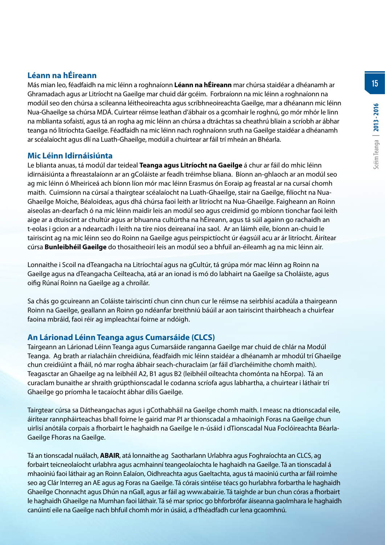# **Léann na hÉireann**

Más mian leo, féadfaidh na mic léinn a roghnaíonn **Léann na hÉireann** mar chúrsa staidéar a dhéanamh ar Ghramadach agus ar Litríocht na Gaeilge mar chuid dár gcéim. Forbraíonn na mic léinn a roghnaíonn na modúil seo den chúrsa a scileanna léitheoireachta agus scríbhneoireachta Gaeilge, mar a dhéanann mic léinn Nua-Ghaeilge sa chúrsa MDÁ. Cuirtear réimse leathan d'ábhair os a gcomhair le roghnú, go mór mhór le linn na mblianta sofaistí, agus tá an rogha ag mic léinn an chúrsa a dtráchtas sa cheathrú bliain a scríobh ar ábhar teanga nó litríochta Gaeilge. Féadfaidh na mic léinn nach roghnaíonn sruth na Gaeilge staidéar a dhéanamh ar scéalaíocht agus dlí na Luath-Ghaeilge, modúil a chuirtear ar fáil trí mheán an Bhéarla.

#### **Mic Léinn Idirnáisiúnta**

Le blianta anuas, tá modúl dar teideal **Teanga agus Litríocht na Gaeilge** á chur ar fáil do mhic léinn idirnáisiúnta a fhreastalaíonn ar an gColáiste ar feadh tréimhse bliana. Bíonn an-ghlaoch ar an modúl seo ag mic léinn ó Mheiriceá ach bíonn líon mór mac léinn Erasmus ón Eoraip ag freastal ar na cursaí chomh maith. Cuimsíonn na cúrsaí a thairgtear scéalaíocht na Luath-Ghaeilge, stair na Gaeilge, filíocht na Nua-Ghaeilge Moiche, Béaloideas, agus dhá chúrsa faoi leith ar litríocht na Nua-Ghaeilge. Faigheann an Roinn aiseolas an-dearfach ó na mic léinn maidir leis an modúl seo agus creidimid go mbíonn tionchar faoi leith aige ar a dtuiscint ar chultúr agus ar bhuanna cultúrtha na hÉireann, agus tá súil againn go rachaidh an t-eolas i gcion ar a ndearcadh i leith na tíre nios deireanaí ina saol. Ar an láimh eile, bíonn an-chuid le tairiscint ag na mic léinn seo do Roinn na Gaeilge agus peirspictíocht úr éagsúil acu ar ár litríocht. Áirítear cúrsa **Bunleibhéil Gaeilge** do thosaitheoirí leis an modúl seo a bhfuil an-éileamh ag na mic léinn air.

Lonnaithe i Scoil na dTeangacha na Litríochtaí agus na gCultúr, tá grúpa mór mac léinn ag Roinn na Gaeilge agus na dTeangacha Ceilteacha, atá ar an ionad is mó do labhairt na Gaeilge sa Choláiste, agus oifig Rúnaí Roinn na Gaeilge ag a chroílár.

Sa chás go gcuireann an Coláiste tairiscintí chun cinn chun cur le réimse na seirbhísí acadúla a thairgeann Roinn na Gaeilge, geallann an Roinn go ndéanfar breithniú báúil ar aon tairiscint thairbheach a chuirfear faoina mbráid, faoi réir ag impleachtaí foirne ar ndóigh.

# **An Lárionad Léinn Teanga agus Cumarsáide (CLCS)**

Tairgeann an Lárionad Léinn Teanga agus Cumarsáide ranganna Gaeilge mar chuid de chlár na Modúl Teanga. Ag brath ar rialacháin chreidiúna, féadfaidh mic léinn staidéar a dhéanamh ar mhodúl trí Ghaeilge chun creidiúint a fháil, nó mar rogha ábhair seach-churaclaim (ar fáil d'iarchéimithe chomh maith). Teagasctar an Ghaeilge ag na leibhéil A2, B1 agus B2 (leibhéil oilteachta chomónta na hEorpa). Tá an curaclam bunaithe ar shraith grúpthionscadal le codanna scríofa agus labhartha, a chuirtear i láthair trí Ghaeilge go príomha le tacaíocht ábhar dílis Gaeilge.

Tairgtear cúrsa sa Dátheangachas agus i gCothabháil na Gaeilge chomh maith. I measc na dtionscadal eile, áirítear rannpháirteachas bhall foirne le gairid mar PI ar thionscadal a mhaoinigh Foras na Gaeilge chun uirlisí anótála corpais a fhorbairt le haghaidh na Gaeilge le n-úsáid i dTionscadal Nua Foclóireachta Béarla-Gaeilge Fhoras na Gaeilge.

Tá an tionscadal nuálach, **ABAIR**, atá lonnaithe ag Saotharlann Urlabhra agus Foghraíochta an CLCS, ag forbairt teicneolaíocht urlabhra agus acmhainní teangeolaíochta le haghaidh na Gaeilge. Tá an tionscadal á mhaoiniú faoi láthair ag an Roinn Ealaíon, Oidhreachta agus Gaeltachta, agus tá maoiniú curtha ar fáil roimhe seo ag Clár Interreg an AE agus ag Foras na Gaeilge. Tá córais sintéise téacs go hurlabhra forbartha le haghaidh Ghaeilge Chonnacht agus Dhún na nGall, agus ar fáil ag www.abair.ie. Tá taighde ar bun chun córas a fhorbairt le haghaidh Ghaeilge na Mumhan faoi láthair. Tá sé mar sprioc go bhforbrófar áiseanna gaolmhara le haghaidh canúintí eile na Gaeilge nach bhfuil chomh mór in úsáid, a d'fhéadfadh cur lena gcaomhnú.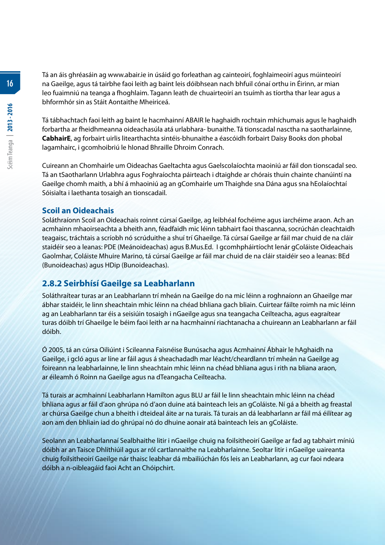Tá an áis ghréasáin ag www.abair.ie in úsáid go forleathan ag cainteoirí, foghlaimeoirí agus múinteoirí na Gaeilge, agus tá tairbhe faoi leith ag baint leis dóibhsean nach bhfuil cónaí orthu in Éirinn, ar mian leo fuaimniú na teanga a fhoghlaim. Tagann leath de chuairteoirí an tsuímh as tíortha thar lear agus a bhformhór sin as Stáit Aontaithe Mheiriceá.

Tá tábhachtach faoi leith ag baint le hacmhainní ABAIR le haghaidh rochtain mhíchumais agus le haghaidh forbartha ar fheidhmeanna oideachasúla atá urlabhara- bunaithe. Tá tionscadal nasctha na saotharlainne, **CabhairE**, ag forbairt uirlis litearthachta sintéis-bhunaithe a éascóidh forbairt Daisy Books don phobal lagamhairc, i gcomhoibriú le hIonad Bhraille Dhroim Conrach.

Cuireann an Chomhairle um Oideachas Gaeltachta agus Gaelscolaíochta maoiniú ar fáil don tionscadal seo. Tá an tSaotharlann Urlabhra agus Foghraíochta páirteach i dtaighde ar chórais thuin chainte chanúintí na Gaeilge chomh maith, a bhí á mhaoiniú ag an gComhairle um Thaighde sna Dána agus sna hEolaíochtaí Sóisialta i laethanta tosaigh an tionscadail.

#### **Scoil an Oideachais**

Soláthraíonn Scoil an Oideachais roinnt cúrsaí Gaeilge, ag leibhéal fochéime agus iarchéime araon. Ach an acmhainn mhaoirseachta a bheith ann, féadfaidh mic léinn tabhairt faoi thascanna, socrúchán cleachtaidh teagaisc, tráchtais a scríobh nó scrúduithe a shuí trí Ghaeilge. Tá cúrsaí Gaeilge ar fáil mar chuid de na cláir staidéir seo a leanas: PDE (Meánoideachas) agus B.Mus.Ed. I gcomhpháirtíocht lenár gColáiste Oideachais Gaolmhar, Coláiste Mhuire Marino, tá cúrsaí Gaeilge ar fáil mar chuid de na cláir staidéir seo a leanas: BEd (Bunoideachas) agus HDip (Bunoideachas).

# **2.8.2 Seirbhísí Gaeilge sa Leabharlann**

Soláthraítear turas ar an Leabharlann trí mheán na Gaeilge do na mic léinn a roghnaíonn an Ghaeilge mar ábhar staidéir, le linn sheachtain mhic léinn na chéad bhliana gach bliain. Cuirtear fáilte roimh na mic léinn ag an Leabharlann tar éis a seisiúin tosaigh i nGaeilge agus sna teangacha Ceilteacha, agus eagraítear turas dóibh trí Ghaeilge le béim faoi leith ar na hacmhainní riachtanacha a chuireann an Leabharlann ar fáil dóibh.

Ó 2005, tá an cúrsa Oiliúint i Scileanna Faisnéise Bunúsacha agus Acmhainní Ábhair le hAghaidh na Gaeilge, i gcló agus ar líne ar fáil agus á sheachadadh mar léacht/cheardlann trí mheán na Gaeilge ag foireann na leabharlainne, le linn sheachtain mhic léinn na chéad bhliana agus i rith na bliana araon, ar éileamh ó Roinn na Gaeilge agus na dTeangacha Ceilteacha.

Tá turais ar acmhainní Leabharlann Hamilton agus BLU ar fáil le linn sheachtain mhic léinn na chéad bhliana agus ar fáil d'aon ghrúpa nó d'aon duine atá bainteach leis an gColáiste. Ní gá a bheith ag freastal ar chúrsa Gaeilge chun a bheith i dteideal áite ar na turais. Tá turais an dá leabharlann ar fáil má éilítear ag aon am den bhliain iad do ghrúpaí nó do dhuine aonair atá bainteach leis an gColáiste.

Seolann an Leabharlannaí Sealbhaithe litir i nGaeilge chuig na foilsitheoirí Gaeilge ar fad ag tabhairt míniú dóibh ar an Taisce Dhlíthiúil agus ar ról cartlannaithe na Leabharlainne. Seoltar litir i nGaeilge uaireanta chuig foilsitheoirí Gaeilge nár thaisc leabhar dá mbailiúchán fós leis an Leabharlann, ag cur faoi ndeara dóibh a n-oibleagáid faoi Acht an Chóipchirt.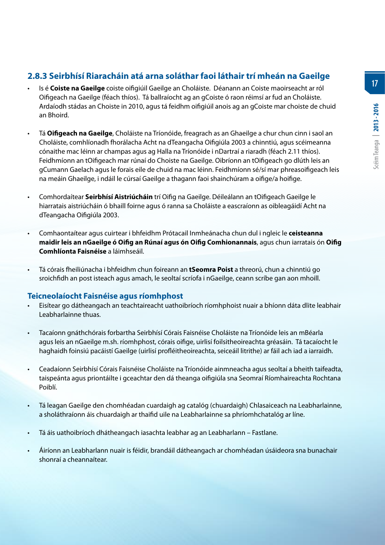# **2.8.3 Seirbhísí Riaracháin atá arna soláthar faoi láthair trí mheán na Gaeilge**

- Is é **Coiste na Gaeilge** coiste oifigiúil Gaeilge an Choláiste. Déanann an Coiste maoirseacht ar ról Oifigeach na Gaeilge (féach thíos). Tá ballraíocht ag an gCoiste ó raon réimsí ar fud an Choláiste. Ardaíodh stádas an Choiste in 2010, agus tá feidhm oifigiúil anois ag an gCoiste mar choiste de chuid an Bhoird.
- Tá **Oifigeach na Gaeilge**, Choláiste na Tríonóide, freagrach as an Ghaeilge a chur chun cinn i saol an Choláiste, comhlíonadh fhorálacha Acht na dTeangacha Oifigiúla 2003 a chinntiú, agus scéimeanna cónaithe mac léinn ar champas agus ag Halla na Tríonóide i nDartraí a riaradh (féach 2.11 thíos). Feidhmíonn an tOifigeach mar rúnaí do Choiste na Gaeilge. Oibríonn an tOifigeach go dlúth leis an gCumann Gaelach agus le forais eile de chuid na mac léinn. Feidhmíonn sé/sí mar phreasoifigeach leis na meáin Ghaeilge, i ndáil le cúrsaí Gaeilge a thagann faoi shainchúram a oifige/a hoifige.
- Comhordaítear **Seirbhísí Aistriúcháin** trí Oifig na Gaeilge. Déileálann an tOifigeach Gaeilge le hiarratais aistriúcháin ó bhaill foirne agus ó ranna sa Choláiste a eascraíonn as oibleagáidí Acht na dTeangacha Oifigiúla 2003.
- Comhaontaítear agus cuirtear i bhfeidhm Prótacail Inmheánacha chun dul i ngleic le **ceisteanna maidir leis an nGaeilge ó Oifig an Rúnaí agus ón Oifig Comhionannais**, agus chun iarratais ón **Oifig Comhlíonta Faisnéise** a láimhseáil.
- Tá córais fheiliúnacha i bhfeidhm chun foireann an **tSeomra Poist** a threorú, chun a chinntiú go sroichfidh an post isteach agus amach, le seoltaí scríofa i nGaeilge, ceann scríbe gan aon mhoill.

#### **Teicneolaíocht Faisnéise agus ríomhphost**

- Eisítear go dátheangach an teachtaireacht uathoibríoch ríomhphoist nuair a bhíonn dáta dlite leabhair Leabharlainne thuas.
- Tacaíonn gnáthchórais forbartha Seirbhísí Córais Faisnéise Choláiste na Tríonóide leis an mBéarla agus leis an nGaeilge m.sh. ríomhphost, córais oifige, uirlisí foilsitheoireachta gréasáin. Tá tacaíocht le haghaidh foinsiú pacáistí Gaeilge (uirlisí profléitheoireachta, seiceáil litrithe) ar fáil ach iad a iarraidh.
- Ceadaíonn Seirbhísí Córais Faisnéise Choláiste na Tríonóide ainmneacha agus seoltaí a bheith taifeadta, taispeánta agus priontáilte i gceachtar den dá theanga oifigiúla sna Seomraí Ríomhaireachta Rochtana Poiblí.
- Tá leagan Gaeilge den chomhéadan cuardaigh ag catalóg (chuardaigh) Chlasaiceach na Leabharlainne, a sholáthraíonn áis chuardaigh ar thaifid uile na Leabharlainne sa phríomhchatalóg ar líne.
- Tá áis uathoibríoch dhátheangach iasachta leabhar ag an Leabharlann Fastlane.
- Áiríonn an Leabharlann nuair is féidir, brandáil dátheangach ar chomhéadan úsáideora sna bunachair shonraí a cheannaítear.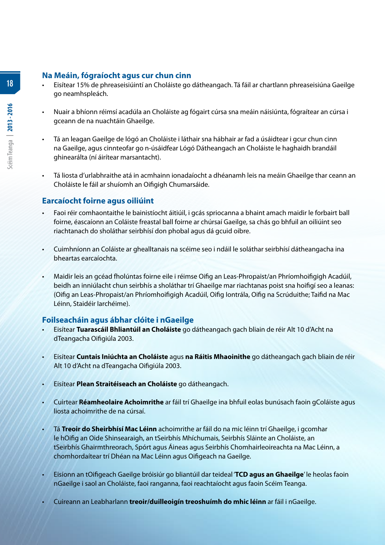# **Na Meáin, fógraíocht agus cur chun cinn**

- Eisítear 15% de phreaseisiúintí an Choláiste go dátheangach. Tá fáil ar chartlann phreaseisiúna Gaeilge go neamhspleách.
- Nuair a bhíonn réimsí acadúla an Choláiste ag fógairt cúrsa sna meáin náisiúnta, fógraítear an cúrsa i gceann de na nuachtáin Ghaeilge.
- Tá an leagan Gaeilge de lógó an Choláiste i láthair sna hábhair ar fad a úsáidtear i gcur chun cinn na Gaeilge, agus cinnteofar go n-úsáidfear Lógó Dátheangach an Choláiste le haghaidh brandáil ghinearálta (ní áirítear marsantacht).
- Tá liosta d'urlabhraithe atá in acmhainn ionadaíocht a dhéanamh leis na meáin Ghaeilge thar ceann an Choláiste le fáil ar shuíomh an Oifigigh Chumarsáide.

#### **Earcaíocht foirne agus oiliúint**

- Faoi réir comhaontaithe le bainistíocht áitiúil, i gcás spriocanna a bhaint amach maidir le forbairt ball foirne, éascaíonn an Coláiste freastal ball foirne ar chúrsaí Gaeilge, sa chás go bhfuil an oiliúint seo riachtanach do sholáthar seirbhísí don phobal agus dá gcuid oibre.
- Cuimhníonn an Coláiste ar ghealltanais na scéime seo i ndáil le soláthar seirbhísí dátheangacha ina bheartas earcaíochta.
- Maidir leis an gcéad fholúntas foirne eile i réimse Oifig an Leas-Phropaist/an Phríomhoifigigh Acadúil, beidh an inniúlacht chun seirbhís a sholáthar trí Ghaeilge mar riachtanas poist sna hoifigí seo a leanas: (Oifig an Leas-Phropaist/an Phríomhoifigigh Acadúil, Oifig Iontrála, Oifig na Scrúduithe; Taifid na Mac Léinn, Staidéir Iarchéime).

# **Foilseacháin agus ábhar clóite i nGaeilge**

- Eisítear **Tuarascáil Bhliantúil an Choláiste** go dátheangach gach bliain de réir Alt 10 d'Acht na dTeangacha Oifigiúla 2003.
- Eisítear **Cuntais Iniúchta an Choláiste** agus **na Ráitis Mhaoinithe** go dátheangach gach bliain de réir Alt 10 d'Acht na dTeangacha Oifigiúla 2003.
- Eisítear **Plean Straitéiseach an Choláiste** go dátheangach.
- Cuirtear **Réamheolaire Achoimrithe** ar fáil trí Ghaeilge ina bhfuil eolas bunúsach faoin gColáiste agus liosta achoimrithe de na cúrsaí.
- Tá **Treoir do Sheirbhísí Mac Léinn** achoimrithe ar fáil do na mic léinn trí Ghaeilge, i gcomhar le hOifig an Oide Shinsearaigh, an tSeirbhís Mhíchumais, Seirbhís Sláinte an Choláiste, an tSeirbhís Ghairmthreorach, Spórt agus Áineas agus Seirbhís Chomhairleoireachta na Mac Léinn, a chomhordaítear trí Dhéan na Mac Léinn agus Oifigeach na Gaeilge.
- Eisíonn an tOifigeach Gaeilge bróisiúr go bliantúil dar teideal '**TCD agus an Ghaeilge**' le heolas faoin nGaeilge i saol an Choláiste, faoi ranganna, faoi reachtaíocht agus faoin Scéim Teanga.
- Cuireann an Leabharlann **treoir/duilleoigín treoshuímh do mhic léinn** ar fáil i nGaeilge.

**18**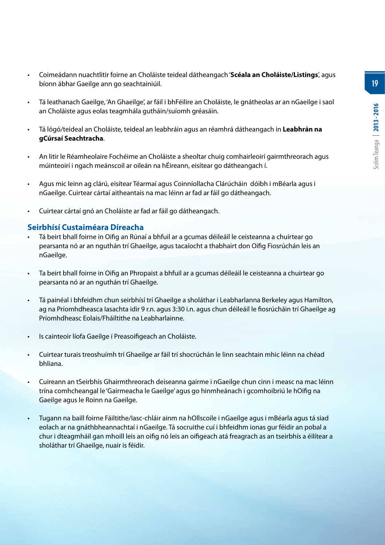**19**

- Coimeádann nuachtlitir foirne an Choláiste teideal dátheangach '**Scéala an Choláiste/Listings**', agus bíonn ábhar Gaeilge ann go seachtainiúil.
- Tá leathanach Gaeilge, 'An Ghaeilge', ar fáil i bhFéilire an Choláiste, le gnátheolas ar an nGaeilge i saol an Choláiste agus eolas teagmhála gutháin/suíomh gréasáin.
- Tá lógó/teideal an Choláiste, teideal an leabhráin agus an réamhrá dátheangach in **Leabhrán na gCúrsaí Seachtracha**.
- An litir le Réamheolaire Fochéime an Choláiste a sheoltar chuig comhairleoirí gairmthreorach agus múinteoirí i ngach meánscoil ar oileán na hÉireann, eisítear go dátheangach í.
- Agus mic leinn ag clárú, eisítear Téarmaí agus Coinníollacha Clárúcháin dóibh i mBéarla agus i nGaeilge. Cuirtear cártaí aitheantais na mac léinn ar fad ar fáil go dátheangach.
- Cuirtear cártaí gnó an Choláiste ar fad ar fáil go dátheangach.

#### **Seirbhísí Custaiméara Díreacha**

- Tá beirt bhall foirne in Oifig an Rúnaí a bhfuil ar a gcumas déileáil le ceisteanna a chuirtear go pearsanta nó ar an nguthán trí Ghaeilge, agus tacaíocht a thabhairt don Oifig Fiosrúchán leis an nGaeilge.
- Ta beirt bhall foirne in Oifig an Phropaist a bhfuil ar a gcumas déileáil le ceisteanna a chuirtear go pearsanta nó ar an nguthán trí Ghaeilge.
- Tá painéal i bhfeidhm chun seirbhísí trí Ghaeilge a sholáthar i Leabharlanna Berkeley agus Hamilton, ag na Príomhdheasca Iasachta idir 9 r.n. agus 3:30 i.n. agus chun déileáil le fiosrúcháin trí Ghaeilge ag Príomhdheasc Eolais/Fháiltithe na Leabharlainne.
- Is cainteoir líofa Gaeilge í Preasoifigeach an Choláiste.
- Cuirtear turais treoshuímh trí Ghaeilge ar fáil trí shocrúchán le linn seachtain mhic léinn na chéad bhliana.
- Cuireann an tSeirbhís Ghairmthreorach deiseanna gairme i nGaeilge chun cinn i measc na mac léinn trína comhcheangal le 'Gairmeacha le Gaeilge' agus go hinmheánach i gcomhoibriú le hOifig na Gaeilge agus le Roinn na Gaeilge.
- Tugann na baill foirne Fáiltithe/Iasc-chláir ainm na hOllscoile i nGaeilge agus i mBéarla agus tá siad eolach ar na gnáthbheannachtaí i nGaeilge. Tá socruithe cuí i bhfeidhm ionas gur féidir an pobal a chur i dteagmháil gan mhoill leis an oifig nó leis an oifigeach atá freagrach as an tseirbhís a éilítear a sholáthar trí Ghaeilge, nuair is féidir.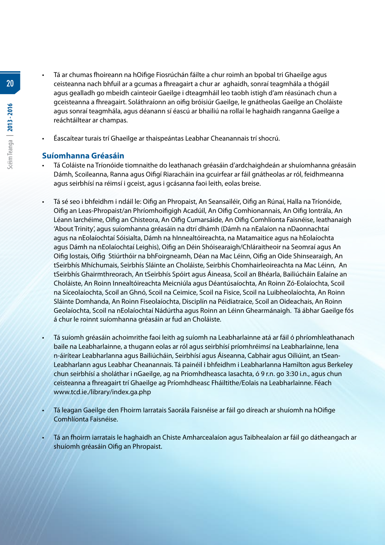- Tá ar chumas fhoireann na hOifige Fiosrúchán fáilte a chur roimh an bpobal tri Ghaeilge agus ceisteanna nach bhfuil ar a gcumas a fhreagairt a chur ar aghaidh, sonraí teagmhála a thógáil agus gealladh go mbeidh cainteoir Gaeilge i dteagmháil leo taobh istigh d'am réasúnach chun a gceisteanna a fhreagairt. Soláthraíonn an oifig bróisiúr Gaeilge, le gnátheolas Gaeilge an Choláiste agus sonraí teagmhála, agus déanann sí éascú ar bhailiú na rollaí le haghaidh ranganna Gaeilge a reáchtáiltear ar champas.
	- Éascaítear turais trí Ghaeilge ar thaispeántas Leabhar Cheanannais trí shocrú.

#### **Suíomhanna Gréasáin**

- Tá Coláiste na Tríonóide tiomnaithe do leathanach gréasáin d'ardchaighdeán ar shuíomhanna gréasáin Dámh, Scoileanna, Ranna agus Oifigí Riaracháin ina gcuirfear ar fáil gnátheolas ar ról, feidhmeanna agus seirbhísí na réimsí i gceist, agus i gcásanna faoi leith, eolas breise.
- Tá sé seo i bhfeidhm i ndáil le: Oifig an Phropaist, An Seansailéir, Oifig an Rúnaí, Halla na Tríonóide, Oifig an Leas-Phropaist/an Phríomhoifigigh Acadúil, An Oifig Comhionannais, An Oifig Iontrála, An Léann Iarchéime, Oifig an Chisteora, An Oifig Cumarsáide, An Oifig Comhlíonta Faisnéise, leathanaigh 'About Trinity', agus suíomhanna gréasáin na dtrí dhámh (Dámh na nEalaíon na nDaonnachtaí agus na nEolaíochtaí Sóisialta, Dámh na hInnealtóireachta, na Matamaitice agus na hEolaíochta agus Dámh na nEolaíochtaí Leighis), Oifig an Déin Shóisearaigh/Chláraitheoir na Seomraí agus An Oifig Iostais, Oifig Stiúrthóir na bhFoirgneamh, Déan na Mac Léinn, Oifig an Oide Shinsearaigh, An tSeirbhís Mhíchumais, Seirbhís Sláinte an Choláiste, Seirbhís Chomhairleoireachta na Mac Léinn, An tSeirbhís Ghairmthreorach, An tSeirbhís Spóirt agus Áineasa, Scoil an Bhéarla, Bailiúcháin Ealaíne an Choláiste, An Roinn Innealtóireachta Meicniúla agus Déantúsaíochta, An Roinn Zó-Eolaíochta, Scoil na Síceolaíochta, Scoil an Ghnó, Scoil na Ceimice, Scoil na Fisice, Scoil na Luibheolaíochta, An Roinn Sláinte Domhanda, An Roinn Fiseolaíochta, Disciplín na Péidiatraice, Scoil an Oideachais, An Roinn Geolaíochta, Scoil na nEolaíochtaí Nádúrtha agus Roinn an Léinn Ghearmánaigh. Tá ábhar Gaeilge fós á chur le roinnt suíomhanna gréasáin ar fud an Choláiste.
- Tá suíomh gréasáin achoimrithe faoi leith ag suíomh na Leabharlainne atá ar fáil ó phríomhleathanach baile na Leabharlainne, a thugann eolas ar ról agus seirbhísí príomhréimsí na Leabharlainne, lena n-áirítear Leabharlanna agus Bailiúcháin, Seirbhísí agus Áiseanna, Cabhair agus Oiliúint, an tSean-Leabharlann agus Leabhar Cheanannais. Tá painéil i bhfeidhm i Leabharlanna Hamilton agus Berkeley chun seirbhísí a sholáthar i nGaeilge, ag na Priomhdheasca Iasachta, ó 9 r.n. go 3:30 i.n., agus chun ceisteanna a fhreagairt trí Ghaeilge ag Príomhdheasc Fháiltithe/Eolais na Leabharlainne. Féach www.tcd.ie./library/index.ga.php
- Tá leagan Gaeilge den Fhoirm Iarratais Saorála Faisnéise ar fáil go díreach ar shuíomh na hOifige Comhlíonta Faisnéise.
- Tá an fhoirm iarratais le haghaidh an Chiste Amharcealaíon agus Taibhealaíon ar fáil go dátheangach ar shuíomh gréasáin Oifig an Phropaist.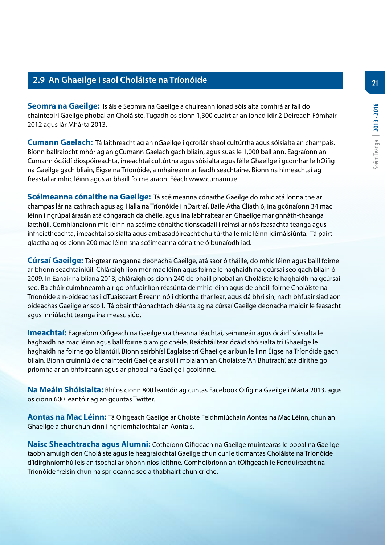# **2.9 An Ghaeilge i saol Choláiste na Tríonóide**

**Seomra na Gaeilge:** Is áis é Seomra na Gaeilge a chuireann ionad sóisialta comhrá ar fail do chainteoirí Gaeilge phobal an Choláiste. Tugadh os cionn 1,300 cuairt ar an ionad idir 2 Deireadh Fómhair 2012 agus lár Mhárta 2013.

**Cumann Gaelach:** Tá láithreacht ag an nGaeilge i gcroílár shaol cultúrtha agus sóisialta an champais. Bíonn ballraiocht mhór ag an gCumann Gaelach gach bliain, agus suas le 1,000 ball ann. Eagraíonn an Cumann ócáidí díospóireachta, imeachtaí cultúrtha agus sóisialta agus féile Ghaeilge i gcomhar le hOifig na Gaeilge gach bliain, Éigse na Tríonóide, a mhaireann ar feadh seachtaine. Bíonn na himeachtaí ag freastal ar mhic léinn agus ar bhaill foirne araon. Féach www.cumann.ie

**Scéimeanna cónaithe na Gaeilge:** Tá scéimeanna cónaithe Gaeilge do mhic atá lonnaithe ar champas lár na cathrach agus ag Halla na Tríonóide i nDartraí, Baile Átha Cliath 6, ina gcónaíonn 34 mac léinn i ngrúpaí árasán atá cóngarach dá chéile, agus ina labhraítear an Ghaeilge mar ghnáth-theanga laethúil. Comhlánaíonn mic léinn na scéime cónaithe tionscadail i réimsí ar nós feasachta teanga agus infheictheachta, imeachtaí sóisialta agus ambasadóireacht chultúrtha le mic léinn idirnáisiúnta. Tá páirt glactha ag os cionn 200 mac léinn sna scéimeanna cónaithe ó bunaíodh iad.

**Cúrsaí Gaeilge:** Tairgtear ranganna deonacha Gaeilge, atá saor ó tháille, do mhic léinn agus baill foirne ar bhonn seachtainiúil. Chláraigh líon mór mac léinn agus foirne le haghaidh na gcúrsaí seo gach bliain ó 2009. In Eanáir na bliana 2013, chláraigh os cionn 240 de bhaill phobal an Choláiste le haghaidh na gcúrsaí seo. Ba chóir cuimhneamh air go bhfuair líon réasúnta de mhic léinn agus de bhaill foirne Choláiste na Tríonóide a n-oideachas i dTuaisceart Éireann nó i dtíortha thar lear, agus dá bhrí sin, nach bhfuair siad aon oideachas Gaeilge ar scoil. Tá obair thábhachtach déanta ag na cúrsaí Gaeilge deonacha maidir le feasacht agus inniúlacht teanga ina measc siúd.

**Imeachtaí:** Eagraíonn Oifigeach na Gaeilge sraitheanna léachtaí, seimineáir agus ócáidí sóisialta le haghaidh na mac léinn agus ball foirne ó am go chéile. Reáchtáiltear ócáid shóisialta trí Ghaeilge le haghaidh na foirne go bliantúil. Bíonn seirbhísí Eaglaise trí Ghaeilge ar bun le linn Éigse na Tríonóide gach bliain. Bíonn cruinniú de chainteoirí Gaeilge ar siúl i mbialann an Choláiste 'An Bhutrach', atá dírithe go príomha ar an bhfoireann agus ar phobal na Gaeilge i gcoitinne.

**Na Meáin Shóisialta:** Bhí os cionn 800 leantóir ag cuntas Facebook Oifig na Gaeilge i Márta 2013, agus os cionn 600 leantóir ag an gcuntas Twitter.

**Aontas na Mac Léinn:** Tá Oifigeach Gaeilge ar Choiste Feidhmiúcháin Aontas na Mac Léinn, chun an Ghaeilge a chur chun cinn i ngníomhaíochtaí an Aontais.

**Naisc Sheachtracha agus Alumni:** Cothaíonn Oifigeach na Gaeilge muintearas le pobal na Gaeilge taobh amuigh den Choláiste agus le heagraíochtaí Gaeilge chun cur le tiomantas Choláiste na Tríonóide d'idirghníomhú leis an tsochaí ar bhonn níos leithne. Comhoibríonn an tOifigeach le Fondúireacht na Tríonóide freisin chun na spriocanna seo a thabhairt chun críche.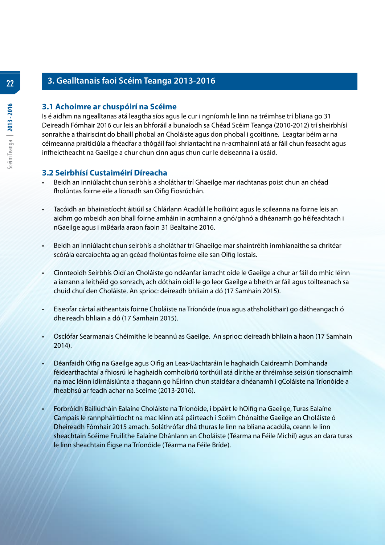# **3. Gealltanais faoi Scéim Teanga 2013-2016**

#### **3.1 Achoimre ar chuspóirí na Scéime**

Is é aidhm na ngealltanas atá leagtha síos agus le cur i ngníomh le linn na tréimhse trí bliana go 31 Deireadh Fómhair 2016 cur leis an bhforáil a bunaíodh sa Chéad Scéim Teanga (2010-2012) trí sheirbhísí sonraithe a thairiscint do bhaill phobal an Choláiste agus don phobal i gcoitinne. Leagtar béim ar na céimeanna praiticiúla a fhéadfar a thógáil faoi shriantacht na n-acmhainní atá ar fáil chun feasacht agus infheictheacht na Gaeilge a chur chun cinn agus chun cur le deiseanna í a úsáid.

#### **3.2 Seirbhísí Custaiméirí Díreacha**

- Beidh an inniúlacht chun seirbhís a sholáthar trí Ghaeilge mar riachtanas poist chun an chéad fholúntas foirne eile a líonadh san Oifig Fiosrúchán.
- Tacóidh an bhainistíocht áitiúil sa Chlárlann Acadúil le hoiliúint agus le scileanna na foirne leis an aidhm go mbeidh aon bhall foirne amháin in acmhainn a gnó/ghnó a dhéanamh go héifeachtach i nGaeilge agus i mBéarla araon faoin 31 Bealtaine 2016.
- Beidh an inniúlacht chun seirbhís a sholáthar trí Ghaeilge mar shaintréith inmhianaithe sa chritéar scórála earcaíochta ag an gcéad fholúntas foirne eile san Oifig Iostais.
- Cinnteoidh Seirbhís Oidí an Choláiste go ndéanfar iarracht oide le Gaeilge a chur ar fáil do mhic léinn a iarrann a leithéid go sonrach, ach dóthain oidí le go leor Gaeilge a bheith ar fáil agus toilteanach sa chuid chuí den Choláiste. An sprioc: deireadh bhliain a dó (17 Samhain 2015).
- Eiseofar cártaí aitheantais foirne Choláiste na Tríonóide (nua agus athsholáthair) go dátheangach ó dheireadh bhliain a dó (17 Samhain 2015).
- Osclófar Searmanais Chéimithe le beannú as Gaeilge. An sprioc: deireadh bhliain a haon (17 Samhain 2014).
- Déanfaidh Oifig na Gaeilge agus Oifig an Leas-Uachtaráin le haghaidh Caidreamh Domhanda féidearthachtaí a fhiosrú le haghaidh comhoibriú torthúil atá dírithe ar thréimhse seisiún tionscnaimh na mac léinn idirnáisiúnta a thagann go hÉirinn chun staidéar a dhéanamh i gColáiste na Tríonóide a fheabhsú ar feadh achar na Scéime (2013-2016).
- Forbróidh Bailiúcháin Ealaíne Choláiste na Tríonóide, i bpáirt le hOifig na Gaeilge, Turas Ealaíne Campais le rannpháirtíocht na mac léinn atá páirteach i Scéim Chónaithe Gaeilge an Choláiste ó Dheireadh Fómhair 2015 amach. Soláthrófar dhá thuras le linn na bliana acadúla, ceann le linn sheachtain Scéime Fruilithe Ealaíne Dhánlann an Choláiste (Téarma na Féile Michíl) agus an dara turas le linn sheachtain Éigse na Tríonóide (Téarma na Féile Bríde).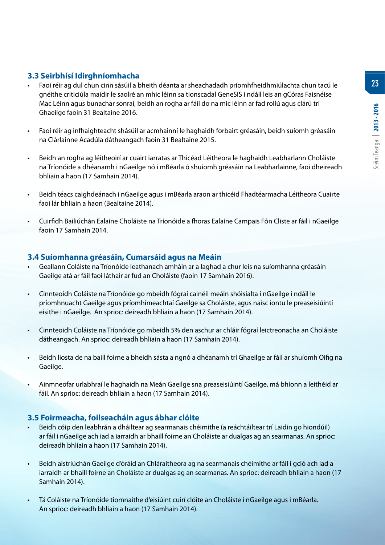**23**

# **3.3 Seirbhísí Idirghníomhacha**

- Faoi réir ag dul chun cinn sásúil a bheith déanta ar sheachadadh príomhfheidhmiúlachta chun tacú le gnéithe criticiúla maidir le saolré an mhic léinn sa tionscadal GeneSIS i ndáil leis an gCóras Faisnéise Mac Léinn agus bunachar sonraí, beidh an rogha ar fáil do na mic léinn ar fad rollú agus clárú trí Ghaeilge faoin 31 Bealtaine 2016.
- Faoi réir ag infhaighteacht shásúil ar acmhainní le haghaidh forbairt gréasáin, beidh suíomh gréasáin na Clárlainne Acadúla dátheangach faoin 31 Bealtaine 2015.
- Beidh an rogha ag léitheoirí ar cuairt iarratas ar Thicéad Léitheora le haghaidh Leabharlann Choláiste na Tríonóide a dhéanamh i nGaeilge nó i mBéarla ó shuíomh gréasáin na Leabharlainne, faoi dheireadh bhliain a haon (17 Samhain 2014).
- Beidh téacs caighdeánach i nGaeilge agus i mBéarla araon ar thicéid Fhadtéarmacha Léitheora Cuairte faoi lár bhliain a haon (Bealtaine 2014).
- Cuirfidh Bailiúchán Ealaíne Choláiste na Tríonóide a fhoras Ealaíne Campais Fón Cliste ar fáil i nGaeilge faoin 17 Samhain 2014.

# **3.4 Suíomhanna gréasáin, Cumarsáid agus na Meáin**

- Geallann Coláiste na Tríonóide leathanach amháin ar a laghad a chur leis na suíomhanna gréasáin Gaeilge atá ar fáil faoi láthair ar fud an Choláiste (faoin 17 Samhain 2016).
- Cinnteoidh Coláiste na Tríonóide go mbeidh fógraí cainéil meáin shóisialta i nGaeilge i ndáil le príomhnuacht Gaeilge agus príomhimeachtaí Gaeilge sa Choláiste, agus naisc iontu le preaseisiúintí eisithe i nGaeilge. An sprioc: deireadh bhliain a haon (17 Samhain 2014).
- Cinnteoidh Coláiste na Tríonóide go mbeidh 5% den aschur ar chláir fógraí leictreonacha an Choláiste dátheangach. An sprioc: deireadh bhliain a haon (17 Samhain 2014).
- Beidh liosta de na baill foirne a bheidh sásta a ngnó a dhéanamh trí Ghaeilge ar fáil ar shuíomh Oifig na Gaeilge.
- Ainmneofar urlabhraí le haghaidh na Meán Gaeilge sna preaseisiúintí Gaeilge, má bhíonn a leithéid ar fáil. An sprioc: deireadh bhliain a haon (17 Samhain 2014).

#### **3.5 Foirmeacha, foilseacháin agus ábhar clóite**

- Beidh cóip den leabhrán a dháiltear ag searmanais chéimithe (a reáchtáiltear trí Laidin go hiondúil) ar fáil i nGaeilge ach iad a iarraidh ar bhaill foirne an Choláiste ar dualgas ag an searmanas. An sprioc: deireadh bhliain a haon (17 Samhain 2014).
- Beidh aistriúchán Gaeilge d'óráid an Chláraitheora ag na searmanais chéimithe ar fáil i gcló ach iad a iarraidh ar bhaill foirne an Choláiste ar dualgas ag an searmanas. An sprioc: deireadh bhliain a haon (17 Samhain 2014).
- Tá Coláiste na Tríonóide tiomnaithe d'eisiúint cuirí clóite an Choláiste i nGaeilge agus i mBéarla. An sprioc: deireadh bhliain a haon (17 Samhain 2014).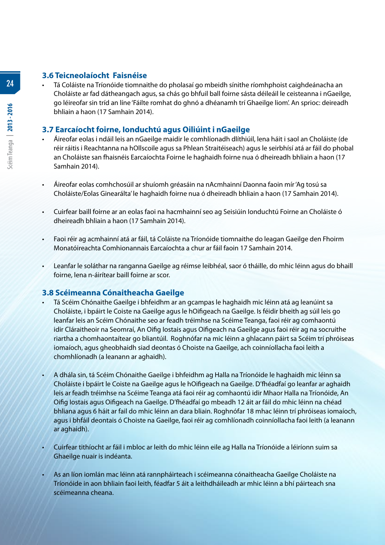# **3.6 Teicneolaíocht Faisnéise**

• Tá Coláiste na Tríonóide tiomnaithe do pholasaí go mbeidh sínithe ríomhphoist caighdeánacha an Choláiste ar fad dátheangach agus, sa chás go bhfuil ball foirne sásta déileáil le ceisteanna i nGaeilge, go léireofar sin tríd an líne 'Fáilte romhat do ghnó a dhéanamh trí Ghaeilge liom'. An sprioc: deireadh bhliain a haon (17 Samhain 2014).

# **3.7 Earcaíocht foirne, Ionduchtú agus Oiliúint i nGaeilge**

- Áireofar eolas i ndáil leis an nGaeilge maidir le comhlíonadh dlíthiúil, lena háit i saol an Choláiste (de réir ráitis i Reachtanna na hOllscoile agus sa Phlean Straitéiseach) agus le seirbhísí atá ar fáil do phobal an Choláiste san fhaisnéis Earcaíochta Foirne le haghaidh foirne nua ó dheireadh bhliain a haon (17 Samhain 2014).
- Áireofar eolas comhchosúil ar shuíomh gréasáin na nAcmhainní Daonna faoin mír 'Ag tosú sa Choláiste/Eolas Ginearálta' le haghaidh foirne nua ó dheireadh bhliain a haon (17 Samhain 2014).
- Cuirfear baill foirne ar an eolas faoi na hacmhainní seo ag Seisiúin Ionduchtú Foirne an Choláiste ó dheireadh bhliain a haon (17 Samhain 2014).
- Faoi réir ag acmhainní atá ar fáil, tá Coláiste na Tríonóide tiomnaithe do leagan Gaeilge den Fhoirm Monatóireachta Comhionannais Earcaíochta a chur ar fáil faoin 17 Samhain 2014.
- Leanfar le soláthar na ranganna Gaeilge ag réimse leibhéal, saor ó tháille, do mhic léinn agus do bhaill foirne, lena n-áirítear baill foirne ar scor.

# **3.8 Scéimeanna Cónaitheacha Gaeilge**

- Tá Scéim Chónaithe Gaeilge i bhfeidhm ar an gcampas le haghaidh mic léinn atá ag leanúint sa Choláiste, i bpáirt le Coiste na Gaeilge agus le hOifigeach na Gaeilge. Is féidir bheith ag súil leis go leanfar leis an Scéim Chónaithe seo ar feadh tréimhse na Scéime Teanga, faoi réir ag comhaontú idir Cláraitheoir na Seomraí, An Oifig Iostais agus Oifigeach na Gaeilge agus faoi réir ag na socruithe riartha a chomhaontaítear go bliantúil. Roghnófar na mic léinn a ghlacann páirt sa Scéim trí phróiseas iomaíoch, agus gheobhaidh siad deontas ó Choiste na Gaeilge, ach coinníollacha faoi leith a chomhlíonadh (a leanann ar aghaidh).
- A dhála sin, tá Scéim Chónaithe Gaeilge i bhfeidhm ag Halla na Tríonóide le haghaidh mic léinn sa Choláiste i bpáirt le Coiste na Gaeilge agus le hOifigeach na Gaeilge. D'fhéadfaí go leanfar ar aghaidh leis ar feadh tréimhse na Scéime Teanga atá faoi réir ag comhaontú idir Mhaor Halla na Tríonóide, An Oifig Iostais agus Oifigeach na Gaeilge. D'fhéadfaí go mbeadh 12 áit ar fáil do mhic léinn na chéad bhliana agus 6 háit ar fail do mhic léinn an dara bliain. Roghnófar 18 mhac léinn trí phróiseas iomaíoch, agus i bhfáil deontais ó Choiste na Gaeilge, faoi réir ag comhlíonadh coinníollacha faoi leith (a leanann ar aghaidh).
- Cuirfear tithíocht ar fáil i mbloc ar leith do mhic léinn eile ag Halla na Tríonóide a léiríonn suim sa Ghaeilge nuair is indéanta.
- As an líon iomlán mac léinn atá rannpháirteach i scéimeanna cónaitheacha Gaeilge Choláiste na Tríonóide in aon bhliain faoi leith, féadfar 5 áit a leithdháileadh ar mhic léinn a bhí páirteach sna scéimeanna cheana.

**24**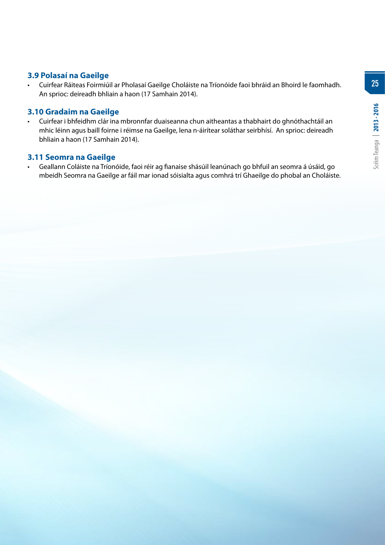**25**

# **3.9 Polasaí na Gaeilge**

• Cuirfear Ráiteas Foirmiúil ar Pholasaí Gaeilge Choláiste na Tríonóide faoi bhráid an Bhoird le faomhadh. An sprioc: deireadh bhliain a haon (17 Samhain 2014).

#### **3.10 Gradaim na Gaeilge**

• Cuirfear i bhfeidhm clár ina mbronnfar duaiseanna chun aitheantas a thabhairt do ghnóthachtáil an mhic léinn agus baill foirne i réimse na Gaeilge, lena n-áirítear soláthar seirbhísí. An sprioc: deireadh bhliain a haon (17 Samhain 2014).

#### **3.11 Seomra na Gaeilge**

• Geallann Coláiste na Tríonóide, faoi réir ag fianaise shásúil leanúnach go bhfuil an seomra á úsáid, go mbeidh Seomra na Gaeilge ar fáil mar ionad sóisialta agus comhrá trí Ghaeilge do phobal an Choláiste.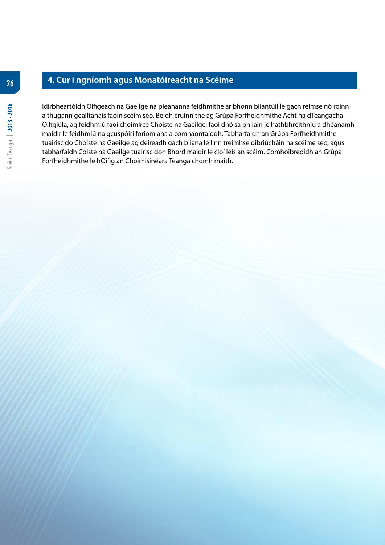# **4. Cur i ngníomh agus Monatóireacht na Scéime**

Idirbheartóidh Oifigeach na Gaeilge na pleananna feidhmithe ar bhonn bliantúil le gach réimse nó roinn a thugann gealltanais faoin scéim seo. Beidh cruinnithe ag Grúpa Forfheidhmithe Acht na dTeangacha Oifigiúla, ag feidhmiú faoi choimirce Choiste na Gaeilge, faoi dhó sa bhliain le hathbhreithniú a dhéanamh maidir le feidhmiú na gcuspóirí foriomlána a comhaontaíodh. Tabharfaidh an Grúpa Forfheidhmithe tuairisc do Choiste na Gaeilge ag deireadh gach bliana le linn tréimhse oibriúcháin na scéime seo, agus tabharfaidh Coiste na Gaeilge tuairisc don Bhord maidir le cloí leis an scéim. Comhoibreoidh an Grúpa Forfheidhmithe le hOifig an Choimisinéara Teanga chomh maith.

**26**